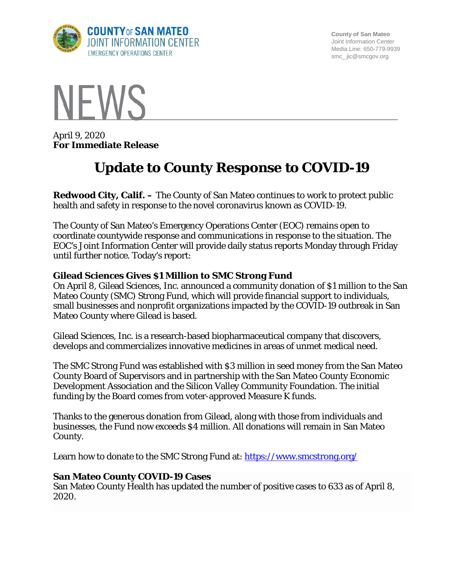

**County of San Mateo** Joint Information Center Media Line: 650-779-9939 smc\_ jic@smcgov.org



April 9, 2020 **For Immediate Release**

## **Update to County Response to COVID-19**

**Redwood City, Calif. –** The County of San Mateo continues to work to protect public health and safety in response to the novel coronavirus known as COVID-19.

The County of San Mateo's Emergency Operations Center (EOC) remains open to coordinate countywide response and communications in response to the situation. The EOC's Joint Information Center will provide daily status reports Monday through Friday until further notice. Today's report:

## **Gilead Sciences Gives \$1 Million to SMC Strong Fund**

On April 8, Gilead Sciences, Inc. announced a community donation of \$1 million to the San Mateo County (SMC) Strong Fund, which will provide financial support to individuals, small businesses and nonprofit organizations impacted by the COVID-19 outbreak in San Mateo County where Gilead is based.

Gilead Sciences, Inc. is a research-based biopharmaceutical company that discovers, develops and commercializes innovative medicines in areas of unmet medical need.

The SMC Strong Fund was established with \$3 million in seed money from the San Mateo County Board of Supervisors and in partnership with the San Mateo County Economic Development Association and the Silicon Valley Community Foundation. The initial funding by the Board comes from voter-approved Measure K funds.

Thanks to the generous donation from Gilead, along with those from individuals and businesses, the Fund now exceeds \$4 million. All donations will remain in San Mateo County.

Learn how to donate to the SMC Strong Fund at: <https://www.smcstrong.org/>

## **San Mateo County COVID-19 Cases**

San Mateo County Health has updated the number of positive cases to 633 as of April 8, 2020.